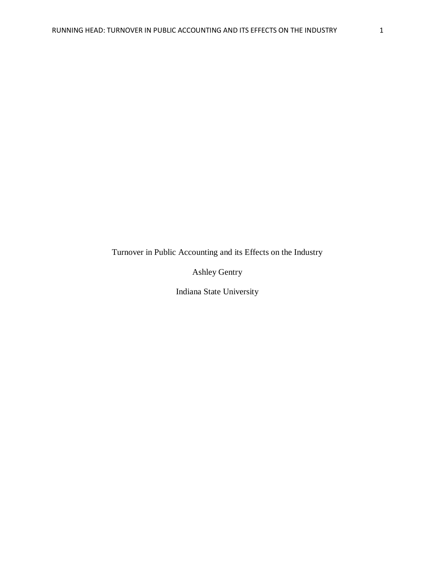Turnover in Public Accounting and its Effects on the Industry

Ashley Gentry

Indiana State University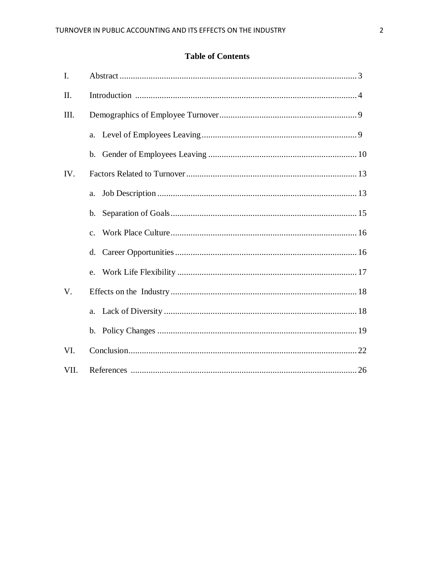# **Table of Contents**

| I.          |                |  |
|-------------|----------------|--|
| II.         |                |  |
| III.        |                |  |
|             | a.             |  |
|             | $\mathbf{b}$ . |  |
| IV.         |                |  |
|             | a.             |  |
|             | b.             |  |
|             | $\mathbf{c}$ . |  |
|             | d.             |  |
|             | e.             |  |
| $V_{\cdot}$ |                |  |
|             | a.             |  |
|             |                |  |
| VI.         |                |  |
| VII.        |                |  |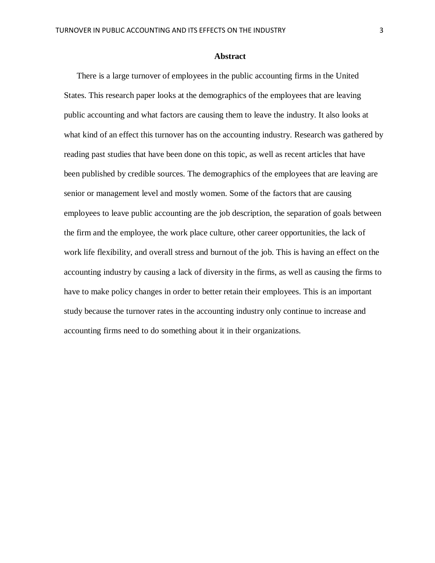#### **Abstract**

There is a large turnover of employees in the public accounting firms in the United States. This research paper looks at the demographics of the employees that are leaving public accounting and what factors are causing them to leave the industry. It also looks at what kind of an effect this turnover has on the accounting industry. Research was gathered by reading past studies that have been done on this topic, as well as recent articles that have been published by credible sources. The demographics of the employees that are leaving are senior or management level and mostly women. Some of the factors that are causing employees to leave public accounting are the job description, the separation of goals between the firm and the employee, the work place culture, other career opportunities, the lack of work life flexibility, and overall stress and burnout of the job. This is having an effect on the accounting industry by causing a lack of diversity in the firms, as well as causing the firms to have to make policy changes in order to better retain their employees. This is an important study because the turnover rates in the accounting industry only continue to increase and accounting firms need to do something about it in their organizations.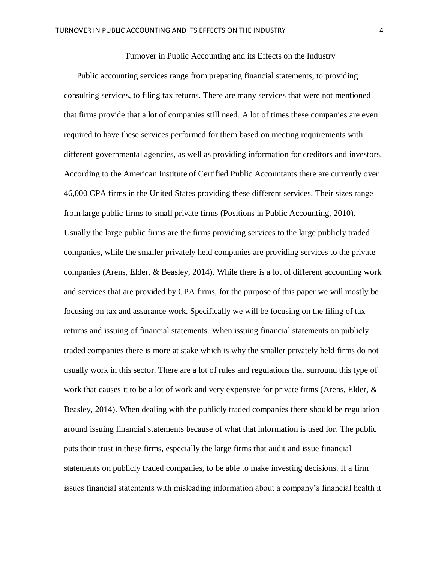Turnover in Public Accounting and its Effects on the Industry

Public accounting services range from preparing financial statements, to providing consulting services, to filing tax returns. There are many services that were not mentioned that firms provide that a lot of companies still need. A lot of times these companies are even required to have these services performed for them based on meeting requirements with different governmental agencies, as well as providing information for creditors and investors. According to the American Institute of Certified Public Accountants there are currently over 46,000 CPA firms in the United States providing these different services. Their sizes range from large public firms to small private firms (Positions in Public Accounting, 2010). Usually the large public firms are the firms providing services to the large publicly traded companies, while the smaller privately held companies are providing services to the private companies (Arens, Elder, & Beasley, 2014). While there is a lot of different accounting work and services that are provided by CPA firms, for the purpose of this paper we will mostly be focusing on tax and assurance work. Specifically we will be focusing on the filing of tax returns and issuing of financial statements. When issuing financial statements on publicly traded companies there is more at stake which is why the smaller privately held firms do not usually work in this sector. There are a lot of rules and regulations that surround this type of work that causes it to be a lot of work and very expensive for private firms (Arens, Elder,  $\&$ Beasley, 2014). When dealing with the publicly traded companies there should be regulation around issuing financial statements because of what that information is used for. The public puts their trust in these firms, especially the large firms that audit and issue financial statements on publicly traded companies, to be able to make investing decisions. If a firm issues financial statements with misleading information about a company's financial health it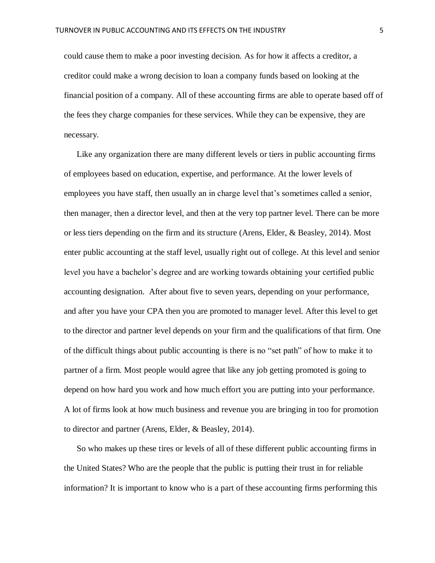could cause them to make a poor investing decision. As for how it affects a creditor, a creditor could make a wrong decision to loan a company funds based on looking at the financial position of a company. All of these accounting firms are able to operate based off of the fees they charge companies for these services. While they can be expensive, they are necessary.

Like any organization there are many different levels or tiers in public accounting firms of employees based on education, expertise, and performance. At the lower levels of employees you have staff, then usually an in charge level that's sometimes called a senior, then manager, then a director level, and then at the very top partner level. There can be more or less tiers depending on the firm and its structure (Arens, Elder, & Beasley, 2014). Most enter public accounting at the staff level, usually right out of college. At this level and senior level you have a bachelor's degree and are working towards obtaining your certified public accounting designation. After about five to seven years, depending on your performance, and after you have your CPA then you are promoted to manager level. After this level to get to the director and partner level depends on your firm and the qualifications of that firm. One of the difficult things about public accounting is there is no "set path" of how to make it to partner of a firm. Most people would agree that like any job getting promoted is going to depend on how hard you work and how much effort you are putting into your performance. A lot of firms look at how much business and revenue you are bringing in too for promotion to director and partner (Arens, Elder, & Beasley, 2014).

So who makes up these tires or levels of all of these different public accounting firms in the United States? Who are the people that the public is putting their trust in for reliable information? It is important to know who is a part of these accounting firms performing this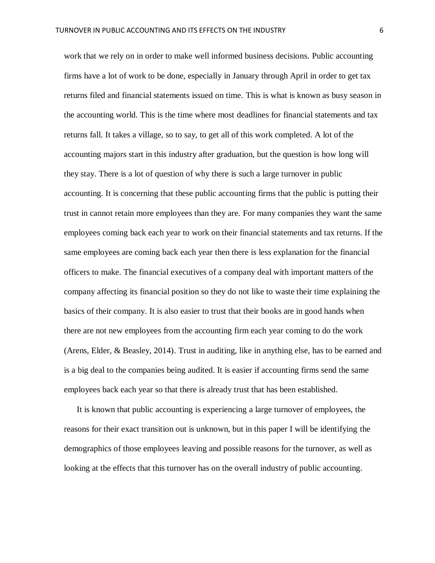work that we rely on in order to make well informed business decisions. Public accounting firms have a lot of work to be done, especially in January through April in order to get tax returns filed and financial statements issued on time. This is what is known as busy season in the accounting world. This is the time where most deadlines for financial statements and tax returns fall. It takes a village, so to say, to get all of this work completed. A lot of the accounting majors start in this industry after graduation, but the question is how long will they stay. There is a lot of question of why there is such a large turnover in public accounting. It is concerning that these public accounting firms that the public is putting their trust in cannot retain more employees than they are. For many companies they want the same employees coming back each year to work on their financial statements and tax returns. If the same employees are coming back each year then there is less explanation for the financial officers to make. The financial executives of a company deal with important matters of the company affecting its financial position so they do not like to waste their time explaining the basics of their company. It is also easier to trust that their books are in good hands when there are not new employees from the accounting firm each year coming to do the work (Arens, Elder, & Beasley, 2014). Trust in auditing, like in anything else, has to be earned and is a big deal to the companies being audited. It is easier if accounting firms send the same employees back each year so that there is already trust that has been established.

It is known that public accounting is experiencing a large turnover of employees, the reasons for their exact transition out is unknown, but in this paper I will be identifying the demographics of those employees leaving and possible reasons for the turnover, as well as looking at the effects that this turnover has on the overall industry of public accounting.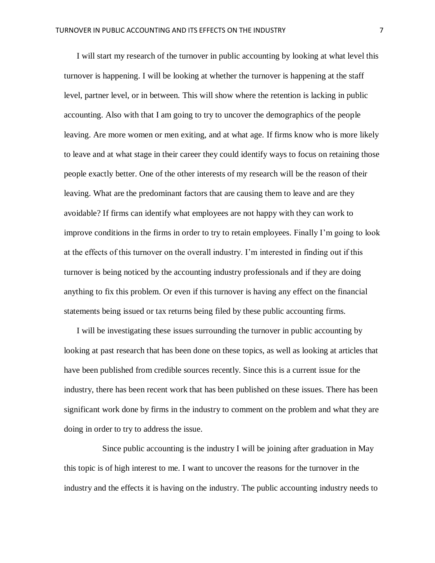I will start my research of the turnover in public accounting by looking at what level this turnover is happening. I will be looking at whether the turnover is happening at the staff level, partner level, or in between. This will show where the retention is lacking in public accounting. Also with that I am going to try to uncover the demographics of the people leaving. Are more women or men exiting, and at what age. If firms know who is more likely to leave and at what stage in their career they could identify ways to focus on retaining those people exactly better. One of the other interests of my research will be the reason of their leaving. What are the predominant factors that are causing them to leave and are they avoidable? If firms can identify what employees are not happy with they can work to improve conditions in the firms in order to try to retain employees. Finally I'm going to look at the effects of this turnover on the overall industry. I'm interested in finding out if this turnover is being noticed by the accounting industry professionals and if they are doing anything to fix this problem. Or even if this turnover is having any effect on the financial statements being issued or tax returns being filed by these public accounting firms.

I will be investigating these issues surrounding the turnover in public accounting by looking at past research that has been done on these topics, as well as looking at articles that have been published from credible sources recently. Since this is a current issue for the industry, there has been recent work that has been published on these issues. There has been significant work done by firms in the industry to comment on the problem and what they are doing in order to try to address the issue.

Since public accounting is the industry I will be joining after graduation in May this topic is of high interest to me. I want to uncover the reasons for the turnover in the industry and the effects it is having on the industry. The public accounting industry needs to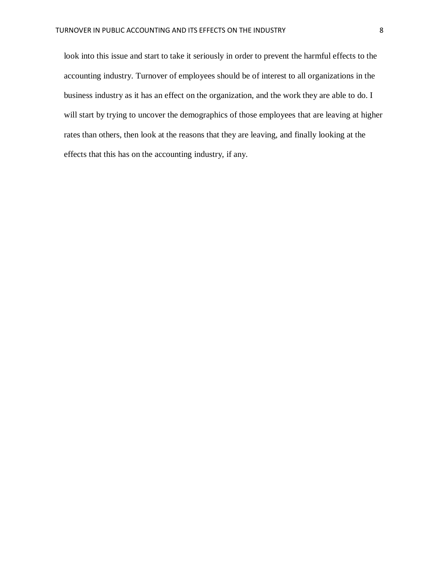look into this issue and start to take it seriously in order to prevent the harmful effects to the accounting industry. Turnover of employees should be of interest to all organizations in the business industry as it has an effect on the organization, and the work they are able to do. I will start by trying to uncover the demographics of those employees that are leaving at higher rates than others, then look at the reasons that they are leaving, and finally looking at the effects that this has on the accounting industry, if any.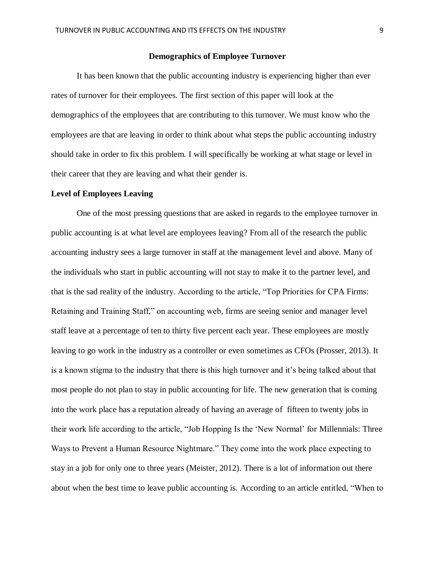### **Demographics of Employee Turnover**

It has been known that the public accounting industry is experiencing higher than ever rates of turnover for their employees. The first section of this paper will look at the demographics of the employees that are contributing to this turnover. We must know who the employees are that are leaving in order to think about what steps the public accounting industry should take in order to fix this problem. I will specifically be working at what stage or level in their career that they are leaving and what their gender is.

#### **Level of Employees Leaving**

One of the most pressing questions that are asked in regards to the employee turnover in public accounting is at what level are employees leaving? From all of the research the public accounting industry sees a large turnover in staff at the management level and above. Many of the individuals who start in public accounting will not stay to make it to the partner level, and that is the sad reality of the industry. According to the article, "Top Priorities for CPA Firms: Retaining and Training Staff," on accounting web, firms are seeing senior and manager level staff leave at a percentage of ten to thirty five percent each year. These employees are mostly leaving to go work in the industry as a controller or even sometimes as CFOs (Prosser, 2013). It is a known stigma to the industry that there is this high turnover and it's being talked about that most people do not plan to stay in public accounting for life. The new generation that is coming into the work place has a reputation already of having an average of fifteen to twenty jobs in their work life according to the article, "Job Hopping Is the 'New Normal' for Millennials: Three Ways to Prevent a Human Resource Nightmare." They come into the work place expecting to stay in a job for only one to three years (Meister, 2012). There is a lot of information out there about when the best time to leave public accounting is. According to an article entitled, "When to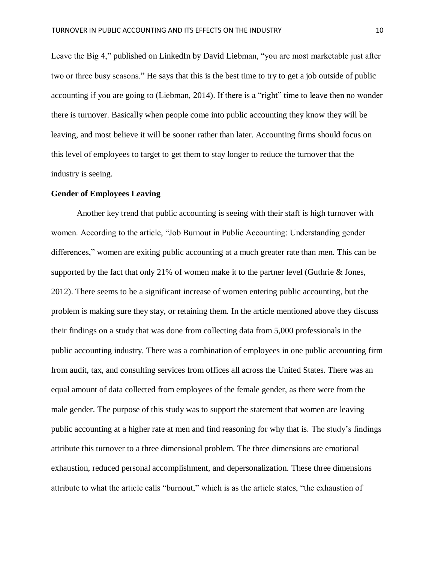Leave the Big 4," published on LinkedIn by David Liebman, "you are most marketable just after two or three busy seasons." He says that this is the best time to try to get a job outside of public accounting if you are going to (Liebman, 2014). If there is a "right" time to leave then no wonder there is turnover. Basically when people come into public accounting they know they will be leaving, and most believe it will be sooner rather than later. Accounting firms should focus on this level of employees to target to get them to stay longer to reduce the turnover that the industry is seeing.

## **Gender of Employees Leaving**

Another key trend that public accounting is seeing with their staff is high turnover with women. According to the article, "Job Burnout in Public Accounting: Understanding gender differences," women are exiting public accounting at a much greater rate than men. This can be supported by the fact that only 21% of women make it to the partner level (Guthrie & Jones, 2012). There seems to be a significant increase of women entering public accounting, but the problem is making sure they stay, or retaining them. In the article mentioned above they discuss their findings on a study that was done from collecting data from 5,000 professionals in the public accounting industry. There was a combination of employees in one public accounting firm from audit, tax, and consulting services from offices all across the United States. There was an equal amount of data collected from employees of the female gender, as there were from the male gender. The purpose of this study was to support the statement that women are leaving public accounting at a higher rate at men and find reasoning for why that is. The study's findings attribute this turnover to a three dimensional problem. The three dimensions are emotional exhaustion, reduced personal accomplishment, and depersonalization. These three dimensions attribute to what the article calls "burnout," which is as the article states, "the exhaustion of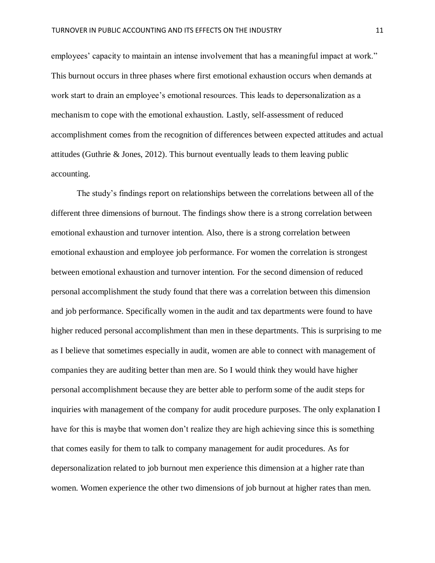employees' capacity to maintain an intense involvement that has a meaningful impact at work." This burnout occurs in three phases where first emotional exhaustion occurs when demands at work start to drain an employee's emotional resources. This leads to depersonalization as a mechanism to cope with the emotional exhaustion. Lastly, self-assessment of reduced accomplishment comes from the recognition of differences between expected attitudes and actual attitudes (Guthrie & Jones, 2012). This burnout eventually leads to them leaving public accounting.

The study's findings report on relationships between the correlations between all of the different three dimensions of burnout. The findings show there is a strong correlation between emotional exhaustion and turnover intention. Also, there is a strong correlation between emotional exhaustion and employee job performance. For women the correlation is strongest between emotional exhaustion and turnover intention. For the second dimension of reduced personal accomplishment the study found that there was a correlation between this dimension and job performance. Specifically women in the audit and tax departments were found to have higher reduced personal accomplishment than men in these departments. This is surprising to me as I believe that sometimes especially in audit, women are able to connect with management of companies they are auditing better than men are. So I would think they would have higher personal accomplishment because they are better able to perform some of the audit steps for inquiries with management of the company for audit procedure purposes. The only explanation I have for this is maybe that women don't realize they are high achieving since this is something that comes easily for them to talk to company management for audit procedures. As for depersonalization related to job burnout men experience this dimension at a higher rate than women. Women experience the other two dimensions of job burnout at higher rates than men.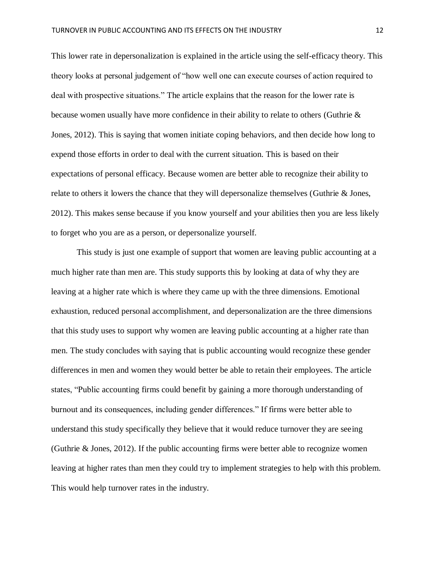This lower rate in depersonalization is explained in the article using the self-efficacy theory. This theory looks at personal judgement of "how well one can execute courses of action required to deal with prospective situations." The article explains that the reason for the lower rate is because women usually have more confidence in their ability to relate to others (Guthrie & Jones, 2012). This is saying that women initiate coping behaviors, and then decide how long to expend those efforts in order to deal with the current situation. This is based on their expectations of personal efficacy. Because women are better able to recognize their ability to relate to others it lowers the chance that they will depersonalize themselves (Guthrie & Jones, 2012). This makes sense because if you know yourself and your abilities then you are less likely to forget who you are as a person, or depersonalize yourself.

This study is just one example of support that women are leaving public accounting at a much higher rate than men are. This study supports this by looking at data of why they are leaving at a higher rate which is where they came up with the three dimensions. Emotional exhaustion, reduced personal accomplishment, and depersonalization are the three dimensions that this study uses to support why women are leaving public accounting at a higher rate than men. The study concludes with saying that is public accounting would recognize these gender differences in men and women they would better be able to retain their employees. The article states, "Public accounting firms could benefit by gaining a more thorough understanding of burnout and its consequences, including gender differences." If firms were better able to understand this study specifically they believe that it would reduce turnover they are seeing (Guthrie & Jones, 2012). If the public accounting firms were better able to recognize women leaving at higher rates than men they could try to implement strategies to help with this problem. This would help turnover rates in the industry.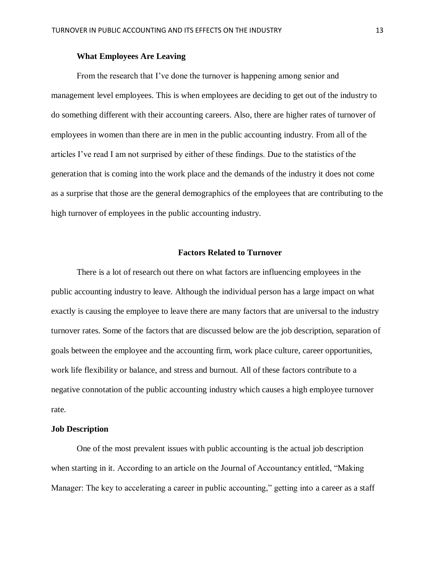## **What Employees Are Leaving**

From the research that I've done the turnover is happening among senior and management level employees. This is when employees are deciding to get out of the industry to do something different with their accounting careers. Also, there are higher rates of turnover of employees in women than there are in men in the public accounting industry. From all of the articles I've read I am not surprised by either of these findings. Due to the statistics of the generation that is coming into the work place and the demands of the industry it does not come as a surprise that those are the general demographics of the employees that are contributing to the high turnover of employees in the public accounting industry.

#### **Factors Related to Turnover**

There is a lot of research out there on what factors are influencing employees in the public accounting industry to leave. Although the individual person has a large impact on what exactly is causing the employee to leave there are many factors that are universal to the industry turnover rates. Some of the factors that are discussed below are the job description, separation of goals between the employee and the accounting firm, work place culture, career opportunities, work life flexibility or balance, and stress and burnout. All of these factors contribute to a negative connotation of the public accounting industry which causes a high employee turnover rate.

#### **Job Description**

One of the most prevalent issues with public accounting is the actual job description when starting in it. According to an article on the Journal of Accountancy entitled, "Making Manager: The key to accelerating a career in public accounting," getting into a career as a staff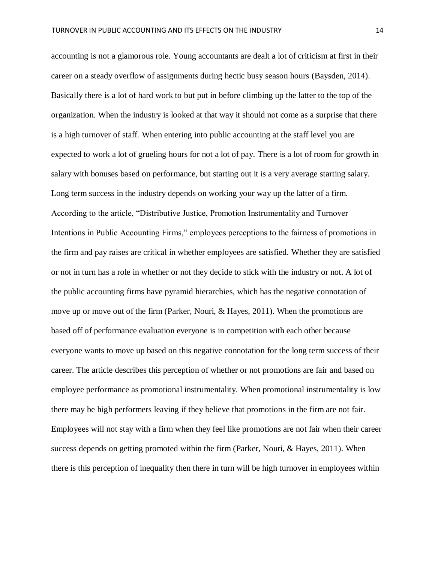accounting is not a glamorous role. Young accountants are dealt a lot of criticism at first in their career on a steady overflow of assignments during hectic busy season hours (Baysden, 2014). Basically there is a lot of hard work to but put in before climbing up the latter to the top of the organization. When the industry is looked at that way it should not come as a surprise that there is a high turnover of staff. When entering into public accounting at the staff level you are expected to work a lot of grueling hours for not a lot of pay. There is a lot of room for growth in salary with bonuses based on performance, but starting out it is a very average starting salary. Long term success in the industry depends on working your way up the latter of a firm. According to the article, "Distributive Justice, Promotion Instrumentality and Turnover Intentions in Public Accounting Firms," employees perceptions to the fairness of promotions in the firm and pay raises are critical in whether employees are satisfied. Whether they are satisfied or not in turn has a role in whether or not they decide to stick with the industry or not. A lot of the public accounting firms have pyramid hierarchies, which has the negative connotation of move up or move out of the firm (Parker, Nouri, & Hayes, 2011). When the promotions are based off of performance evaluation everyone is in competition with each other because everyone wants to move up based on this negative connotation for the long term success of their career. The article describes this perception of whether or not promotions are fair and based on employee performance as promotional instrumentality. When promotional instrumentality is low there may be high performers leaving if they believe that promotions in the firm are not fair. Employees will not stay with a firm when they feel like promotions are not fair when their career success depends on getting promoted within the firm (Parker, Nouri, & Hayes, 2011). When there is this perception of inequality then there in turn will be high turnover in employees within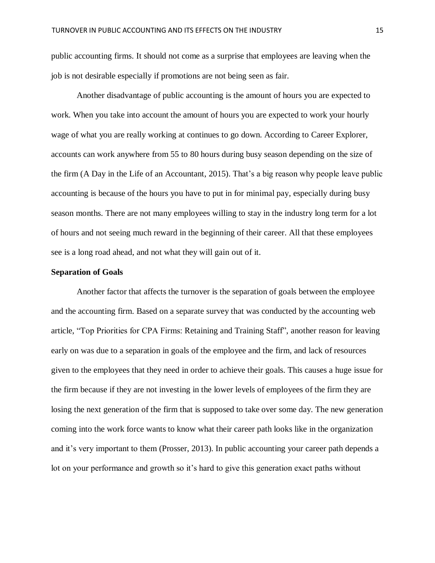public accounting firms. It should not come as a surprise that employees are leaving when the job is not desirable especially if promotions are not being seen as fair.

Another disadvantage of public accounting is the amount of hours you are expected to work. When you take into account the amount of hours you are expected to work your hourly wage of what you are really working at continues to go down. According to Career Explorer, accounts can work anywhere from 55 to 80 hours during busy season depending on the size of the firm (A Day in the Life of an Accountant, 2015). That's a big reason why people leave public accounting is because of the hours you have to put in for minimal pay, especially during busy season months. There are not many employees willing to stay in the industry long term for a lot of hours and not seeing much reward in the beginning of their career. All that these employees see is a long road ahead, and not what they will gain out of it.

## **Separation of Goals**

Another factor that affects the turnover is the separation of goals between the employee and the accounting firm. Based on a separate survey that was conducted by the accounting web article, "Top Priorities for CPA Firms: Retaining and Training Staff", another reason for leaving early on was due to a separation in goals of the employee and the firm, and lack of resources given to the employees that they need in order to achieve their goals. This causes a huge issue for the firm because if they are not investing in the lower levels of employees of the firm they are losing the next generation of the firm that is supposed to take over some day. The new generation coming into the work force wants to know what their career path looks like in the organization and it's very important to them (Prosser, 2013). In public accounting your career path depends a lot on your performance and growth so it's hard to give this generation exact paths without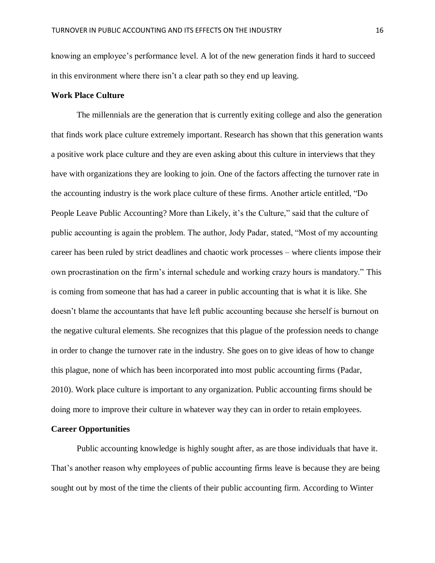knowing an employee's performance level. A lot of the new generation finds it hard to succeed in this environment where there isn't a clear path so they end up leaving.

# **Work Place Culture**

The millennials are the generation that is currently exiting college and also the generation that finds work place culture extremely important. Research has shown that this generation wants a positive work place culture and they are even asking about this culture in interviews that they have with organizations they are looking to join. One of the factors affecting the turnover rate in the accounting industry is the work place culture of these firms. Another article entitled, "Do People Leave Public Accounting? More than Likely, it's the Culture," said that the culture of public accounting is again the problem. The author, Jody Padar, stated, "Most of my accounting career has been ruled by strict deadlines and chaotic work processes – where clients impose their own procrastination on the firm's internal schedule and working crazy hours is mandatory." This is coming from someone that has had a career in public accounting that is what it is like. She doesn't blame the accountants that have left public accounting because she herself is burnout on the negative cultural elements. She recognizes that this plague of the profession needs to change in order to change the turnover rate in the industry. She goes on to give ideas of how to change this plague, none of which has been incorporated into most public accounting firms (Padar, 2010). Work place culture is important to any organization. Public accounting firms should be doing more to improve their culture in whatever way they can in order to retain employees.

#### **Career Opportunities**

Public accounting knowledge is highly sought after, as are those individuals that have it. That's another reason why employees of public accounting firms leave is because they are being sought out by most of the time the clients of their public accounting firm. According to Winter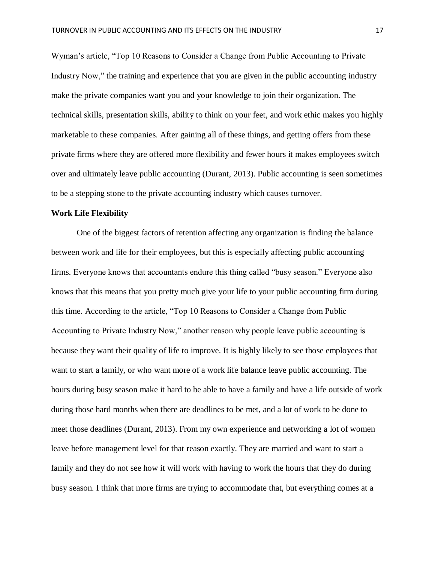Wyman's article, "Top 10 Reasons to Consider a Change from Public Accounting to Private Industry Now," the training and experience that you are given in the public accounting industry make the private companies want you and your knowledge to join their organization. The technical skills, presentation skills, ability to think on your feet, and work ethic makes you highly marketable to these companies. After gaining all of these things, and getting offers from these private firms where they are offered more flexibility and fewer hours it makes employees switch over and ultimately leave public accounting (Durant, 2013). Public accounting is seen sometimes to be a stepping stone to the private accounting industry which causes turnover.

## **Work Life Flexibility**

One of the biggest factors of retention affecting any organization is finding the balance between work and life for their employees, but this is especially affecting public accounting firms. Everyone knows that accountants endure this thing called "busy season." Everyone also knows that this means that you pretty much give your life to your public accounting firm during this time. According to the article, "Top 10 Reasons to Consider a Change from Public Accounting to Private Industry Now," another reason why people leave public accounting is because they want their quality of life to improve. It is highly likely to see those employees that want to start a family, or who want more of a work life balance leave public accounting. The hours during busy season make it hard to be able to have a family and have a life outside of work during those hard months when there are deadlines to be met, and a lot of work to be done to meet those deadlines (Durant, 2013). From my own experience and networking a lot of women leave before management level for that reason exactly. They are married and want to start a family and they do not see how it will work with having to work the hours that they do during busy season. I think that more firms are trying to accommodate that, but everything comes at a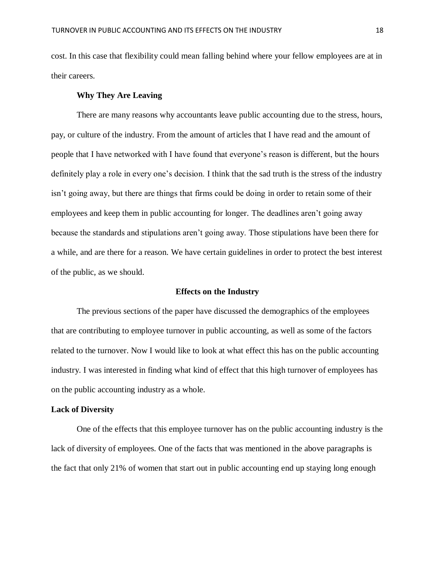cost. In this case that flexibility could mean falling behind where your fellow employees are at in their careers.

## **Why They Are Leaving**

There are many reasons why accountants leave public accounting due to the stress, hours, pay, or culture of the industry. From the amount of articles that I have read and the amount of people that I have networked with I have found that everyone's reason is different, but the hours definitely play a role in every one's decision. I think that the sad truth is the stress of the industry isn't going away, but there are things that firms could be doing in order to retain some of their employees and keep them in public accounting for longer. The deadlines aren't going away because the standards and stipulations aren't going away. Those stipulations have been there for a while, and are there for a reason. We have certain guidelines in order to protect the best interest of the public, as we should.

#### **Effects on the Industry**

The previous sections of the paper have discussed the demographics of the employees that are contributing to employee turnover in public accounting, as well as some of the factors related to the turnover. Now I would like to look at what effect this has on the public accounting industry. I was interested in finding what kind of effect that this high turnover of employees has on the public accounting industry as a whole.

## **Lack of Diversity**

One of the effects that this employee turnover has on the public accounting industry is the lack of diversity of employees. One of the facts that was mentioned in the above paragraphs is the fact that only 21% of women that start out in public accounting end up staying long enough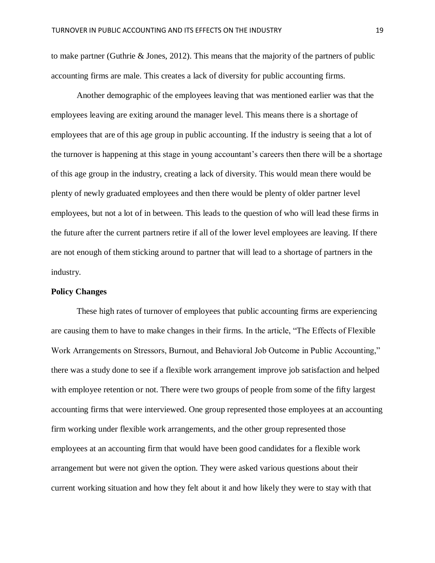to make partner (Guthrie  $&$  Jones, 2012). This means that the majority of the partners of public accounting firms are male. This creates a lack of diversity for public accounting firms.

Another demographic of the employees leaving that was mentioned earlier was that the employees leaving are exiting around the manager level. This means there is a shortage of employees that are of this age group in public accounting. If the industry is seeing that a lot of the turnover is happening at this stage in young accountant's careers then there will be a shortage of this age group in the industry, creating a lack of diversity. This would mean there would be plenty of newly graduated employees and then there would be plenty of older partner level employees, but not a lot of in between. This leads to the question of who will lead these firms in the future after the current partners retire if all of the lower level employees are leaving. If there are not enough of them sticking around to partner that will lead to a shortage of partners in the industry.

## **Policy Changes**

These high rates of turnover of employees that public accounting firms are experiencing are causing them to have to make changes in their firms. In the article, "The Effects of Flexible Work Arrangements on Stressors, Burnout, and Behavioral Job Outcome in Public Accounting," there was a study done to see if a flexible work arrangement improve job satisfaction and helped with employee retention or not. There were two groups of people from some of the fifty largest accounting firms that were interviewed. One group represented those employees at an accounting firm working under flexible work arrangements, and the other group represented those employees at an accounting firm that would have been good candidates for a flexible work arrangement but were not given the option. They were asked various questions about their current working situation and how they felt about it and how likely they were to stay with that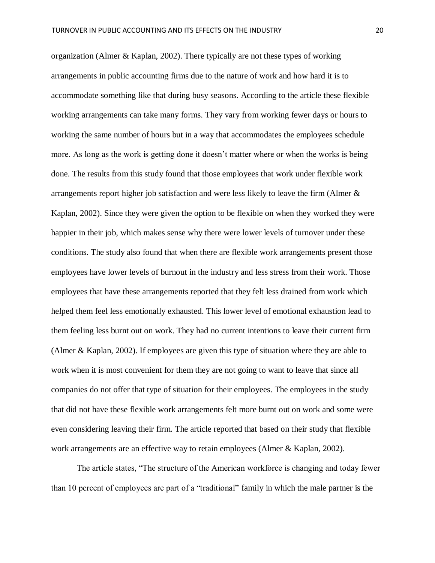organization (Almer & Kaplan, 2002). There typically are not these types of working arrangements in public accounting firms due to the nature of work and how hard it is to accommodate something like that during busy seasons. According to the article these flexible working arrangements can take many forms. They vary from working fewer days or hours to working the same number of hours but in a way that accommodates the employees schedule more. As long as the work is getting done it doesn't matter where or when the works is being done. The results from this study found that those employees that work under flexible work arrangements report higher job satisfaction and were less likely to leave the firm (Almer & Kaplan, 2002). Since they were given the option to be flexible on when they worked they were happier in their job, which makes sense why there were lower levels of turnover under these conditions. The study also found that when there are flexible work arrangements present those employees have lower levels of burnout in the industry and less stress from their work. Those employees that have these arrangements reported that they felt less drained from work which helped them feel less emotionally exhausted. This lower level of emotional exhaustion lead to them feeling less burnt out on work. They had no current intentions to leave their current firm (Almer & Kaplan, 2002). If employees are given this type of situation where they are able to work when it is most convenient for them they are not going to want to leave that since all companies do not offer that type of situation for their employees. The employees in the study that did not have these flexible work arrangements felt more burnt out on work and some were even considering leaving their firm. The article reported that based on their study that flexible work arrangements are an effective way to retain employees (Almer & Kaplan, 2002).

The article states, "The structure of the American workforce is changing and today fewer than 10 percent of employees are part of a "traditional" family in which the male partner is the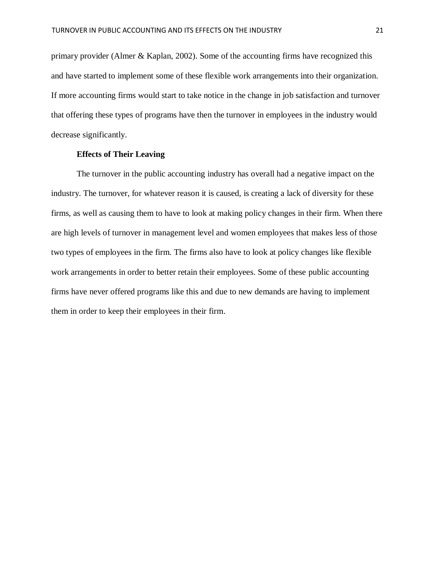primary provider (Almer & Kaplan, 2002). Some of the accounting firms have recognized this and have started to implement some of these flexible work arrangements into their organization. If more accounting firms would start to take notice in the change in job satisfaction and turnover that offering these types of programs have then the turnover in employees in the industry would decrease significantly.

## **Effects of Their Leaving**

The turnover in the public accounting industry has overall had a negative impact on the industry. The turnover, for whatever reason it is caused, is creating a lack of diversity for these firms, as well as causing them to have to look at making policy changes in their firm. When there are high levels of turnover in management level and women employees that makes less of those two types of employees in the firm. The firms also have to look at policy changes like flexible work arrangements in order to better retain their employees. Some of these public accounting firms have never offered programs like this and due to new demands are having to implement them in order to keep their employees in their firm.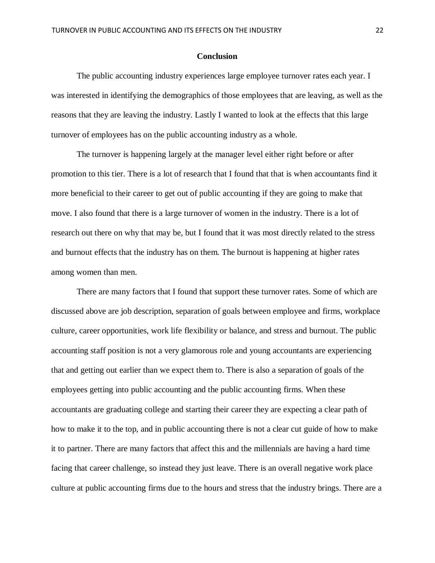#### **Conclusion**

The public accounting industry experiences large employee turnover rates each year. I was interested in identifying the demographics of those employees that are leaving, as well as the reasons that they are leaving the industry. Lastly I wanted to look at the effects that this large turnover of employees has on the public accounting industry as a whole.

The turnover is happening largely at the manager level either right before or after promotion to this tier. There is a lot of research that I found that that is when accountants find it more beneficial to their career to get out of public accounting if they are going to make that move. I also found that there is a large turnover of women in the industry. There is a lot of research out there on why that may be, but I found that it was most directly related to the stress and burnout effects that the industry has on them. The burnout is happening at higher rates among women than men.

There are many factors that I found that support these turnover rates. Some of which are discussed above are job description, separation of goals between employee and firms, workplace culture, career opportunities, work life flexibility or balance, and stress and burnout. The public accounting staff position is not a very glamorous role and young accountants are experiencing that and getting out earlier than we expect them to. There is also a separation of goals of the employees getting into public accounting and the public accounting firms. When these accountants are graduating college and starting their career they are expecting a clear path of how to make it to the top, and in public accounting there is not a clear cut guide of how to make it to partner. There are many factors that affect this and the millennials are having a hard time facing that career challenge, so instead they just leave. There is an overall negative work place culture at public accounting firms due to the hours and stress that the industry brings. There are a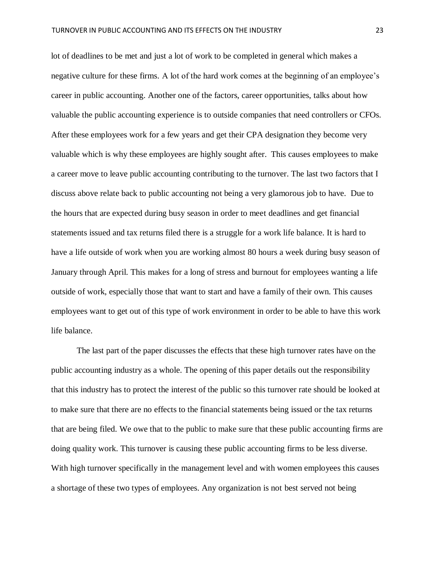lot of deadlines to be met and just a lot of work to be completed in general which makes a negative culture for these firms. A lot of the hard work comes at the beginning of an employee's career in public accounting. Another one of the factors, career opportunities, talks about how valuable the public accounting experience is to outside companies that need controllers or CFOs. After these employees work for a few years and get their CPA designation they become very valuable which is why these employees are highly sought after. This causes employees to make a career move to leave public accounting contributing to the turnover. The last two factors that I discuss above relate back to public accounting not being a very glamorous job to have. Due to the hours that are expected during busy season in order to meet deadlines and get financial statements issued and tax returns filed there is a struggle for a work life balance. It is hard to have a life outside of work when you are working almost 80 hours a week during busy season of January through April. This makes for a long of stress and burnout for employees wanting a life outside of work, especially those that want to start and have a family of their own. This causes employees want to get out of this type of work environment in order to be able to have this work life balance.

The last part of the paper discusses the effects that these high turnover rates have on the public accounting industry as a whole. The opening of this paper details out the responsibility that this industry has to protect the interest of the public so this turnover rate should be looked at to make sure that there are no effects to the financial statements being issued or the tax returns that are being filed. We owe that to the public to make sure that these public accounting firms are doing quality work. This turnover is causing these public accounting firms to be less diverse. With high turnover specifically in the management level and with women employees this causes a shortage of these two types of employees. Any organization is not best served not being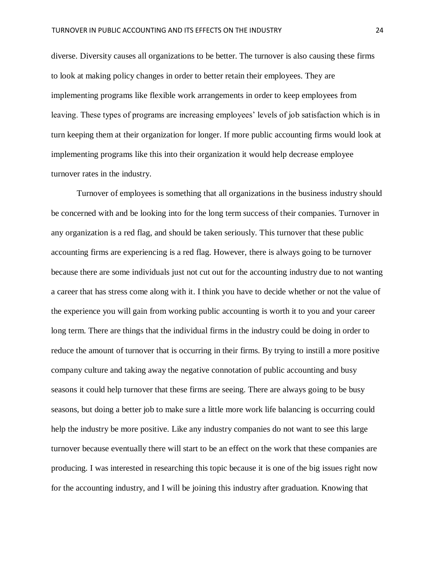diverse. Diversity causes all organizations to be better. The turnover is also causing these firms to look at making policy changes in order to better retain their employees. They are implementing programs like flexible work arrangements in order to keep employees from leaving. These types of programs are increasing employees' levels of job satisfaction which is in turn keeping them at their organization for longer. If more public accounting firms would look at implementing programs like this into their organization it would help decrease employee turnover rates in the industry.

Turnover of employees is something that all organizations in the business industry should be concerned with and be looking into for the long term success of their companies. Turnover in any organization is a red flag, and should be taken seriously. This turnover that these public accounting firms are experiencing is a red flag. However, there is always going to be turnover because there are some individuals just not cut out for the accounting industry due to not wanting a career that has stress come along with it. I think you have to decide whether or not the value of the experience you will gain from working public accounting is worth it to you and your career long term. There are things that the individual firms in the industry could be doing in order to reduce the amount of turnover that is occurring in their firms. By trying to instill a more positive company culture and taking away the negative connotation of public accounting and busy seasons it could help turnover that these firms are seeing. There are always going to be busy seasons, but doing a better job to make sure a little more work life balancing is occurring could help the industry be more positive. Like any industry companies do not want to see this large turnover because eventually there will start to be an effect on the work that these companies are producing. I was interested in researching this topic because it is one of the big issues right now for the accounting industry, and I will be joining this industry after graduation. Knowing that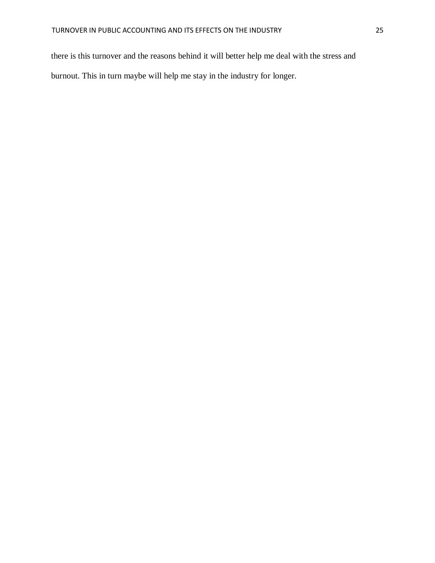there is this turnover and the reasons behind it will better help me deal with the stress and burnout. This in turn maybe will help me stay in the industry for longer.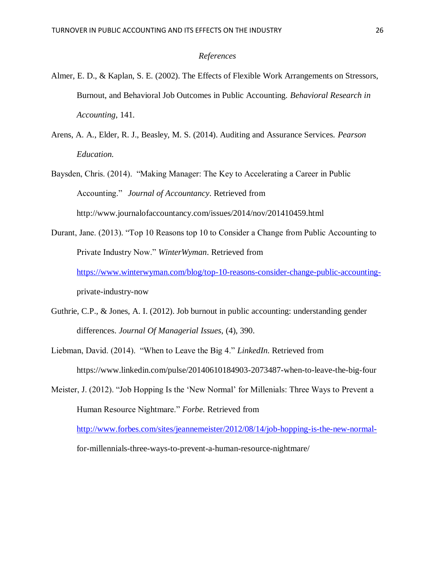#### *References*

- Almer, E. D., & Kaplan, S. E. (2002). The Effects of Flexible Work Arrangements on Stressors, Burnout, and Behavioral Job Outcomes in Public Accounting. *Behavioral Research in Accounting*, 141.
- Arens, A. A., Elder, R. J., Beasley, M. S. (2014). Auditing and Assurance Services. *Pearson Education.*
- Baysden, Chris. (2014). "Making Manager: The Key to Accelerating a Career in Public Accounting." *Journal of Accountancy*. Retrieved from http://www.journalofaccountancy.com/issues/2014/nov/201410459.html
- Durant, Jane. (2013). "Top 10 Reasons top 10 to Consider a Change from Public Accounting to Private Industry Now." *WinterWyman*. Retrieved from [https://www.winterwyman.com/blog/top-10-reasons-consider-change-public-accounting](https://www.winterwyman.com/blog/top-10-reasons-consider-change-public-accounting-)private-industry-now
- Guthrie, C.P., & Jones, A. I. (2012). Job burnout in public accounting: understanding gender differences. *Journal Of Managerial Issues*, (4), 390.
- Liebman, David. (2014). "When to Leave the Big 4." *LinkedIn*. Retrieved from https://www.linkedin.com/pulse/20140610184903-2073487-when-to-leave-the-big-four
- Meister, J. (2012). "Job Hopping Is the 'New Normal' for Millenials: Three Ways to Prevent a Human Resource Nightmare." *Forbe.* Retrieved from

<http://www.forbes.com/sites/jeannemeister/2012/08/14/job-hopping-is-the-new-normal->

for-millennials-three-ways-to-prevent-a-human-resource-nightmare/